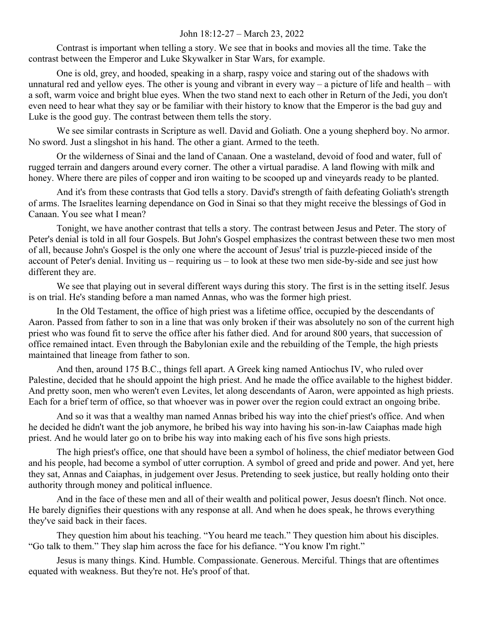## John 18:12-27 – March 23, 2022

Contrast is important when telling a story. We see that in books and movies all the time. Take the contrast between the Emperor and Luke Skywalker in Star Wars, for example.

One is old, grey, and hooded, speaking in a sharp, raspy voice and staring out of the shadows with unnatural red and yellow eyes. The other is young and vibrant in every way – a picture of life and health – with a soft, warm voice and bright blue eyes. When the two stand next to each other in Return of the Jedi, you don't even need to hear what they say or be familiar with their history to know that the Emperor is the bad guy and Luke is the good guy. The contrast between them tells the story.

We see similar contrasts in Scripture as well. David and Goliath. One a young shepherd boy. No armor. No sword. Just a slingshot in his hand. The other a giant. Armed to the teeth.

Or the wilderness of Sinai and the land of Canaan. One a wasteland, devoid of food and water, full of rugged terrain and dangers around every corner. The other a virtual paradise. A land flowing with milk and honey. Where there are piles of copper and iron waiting to be scooped up and vineyards ready to be planted.

And it's from these contrasts that God tells a story. David's strength of faith defeating Goliath's strength of arms. The Israelites learning dependance on God in Sinai so that they might receive the blessings of God in Canaan. You see what I mean?

Tonight, we have another contrast that tells a story. The contrast between Jesus and Peter. The story of Peter's denial is told in all four Gospels. But John's Gospel emphasizes the contrast between these two men most of all, because John's Gospel is the only one where the account of Jesus' trial is puzzle-pieced inside of the account of Peter's denial. Inviting us – requiring us – to look at these two men side-by-side and see just how different they are.

We see that playing out in several different ways during this story. The first is in the setting itself. Jesus is on trial. He's standing before a man named Annas, who was the former high priest.

In the Old Testament, the office of high priest was a lifetime office, occupied by the descendants of Aaron. Passed from father to son in a line that was only broken if their was absolutely no son of the current high priest who was found fit to serve the office after his father died. And for around 800 years, that succession of office remained intact. Even through the Babylonian exile and the rebuilding of the Temple, the high priests maintained that lineage from father to son.

And then, around 175 B.C., things fell apart. A Greek king named Antiochus IV, who ruled over Palestine, decided that he should appoint the high priest. And he made the office available to the highest bidder. And pretty soon, men who weren't even Levites, let along descendants of Aaron, were appointed as high priests. Each for a brief term of office, so that whoever was in power over the region could extract an ongoing bribe.

And so it was that a wealthy man named Annas bribed his way into the chief priest's office. And when he decided he didn't want the job anymore, he bribed his way into having his son-in-law Caiaphas made high priest. And he would later go on to bribe his way into making each of his five sons high priests.

The high priest's office, one that should have been a symbol of holiness, the chief mediator between God and his people, had become a symbol of utter corruption. A symbol of greed and pride and power. And yet, here they sat, Annas and Caiaphas, in judgement over Jesus. Pretending to seek justice, but really holding onto their authority through money and political influence.

And in the face of these men and all of their wealth and political power, Jesus doesn't flinch. Not once. He barely dignifies their questions with any response at all. And when he does speak, he throws everything they've said back in their faces.

They question him about his teaching. "You heard me teach." They question him about his disciples. "Go talk to them." They slap him across the face for his defiance. "You know I'm right."

Jesus is many things. Kind. Humble. Compassionate. Generous. Merciful. Things that are oftentimes equated with weakness. But they're not. He's proof of that.